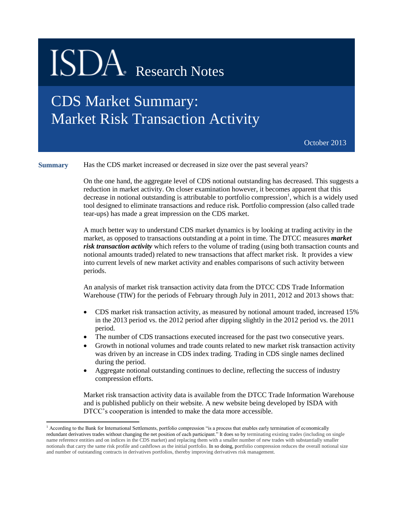## ISDA Research Notes

### CDS Market Summary: Market Risk Transaction Activity

October 2013

**Summary** Has the CDS market increased or decreased in size over the past several years?

On the one hand, the aggregate level of CDS notional outstanding has decreased. This suggests a reduction in market activity. On closer examination however, it becomes apparent that this decrease in notional outstanding is attributable to portfolio compression<sup>1</sup>, which is a widely used tool designed to eliminate transactions and reduce risk. Portfolio compression (also called trade tear-ups) has made a great impression on the CDS market.

A much better way to understand CDS market dynamics is by looking at trading activity in the market, as opposed to transactions outstanding at a point in time. The DTCC measures *market risk transaction activity* which refers to the volume of trading (using both transaction counts and notional amounts traded) related to new transactions that affect market risk. It provides a view into current levels of new market activity and enables comparisons of such activity between periods.

An analysis of market risk transaction activity data from the DTCC CDS Trade Information Warehouse (TIW) for the periods of February through July in 2011, 2012 and 2013 shows that:

- CDS market risk transaction activity, as measured by notional amount traded, increased 15% in the 2013 period vs. the 2012 period after dipping slightly in the 2012 period vs. the 2011 period.
- The number of CDS transactions executed increased for the past two consecutive years.
- Growth in notional volumes and trade counts related to new market risk transaction activity was driven by an increase in CDS index trading. Trading in CDS single names declined during the period.
- Aggregate notional outstanding continues to decline, reflecting the success of industry compression efforts.

Market risk transaction activity data is available from the DTCC Trade Information Warehouse and is published publicly on their website. A new website being developed by ISDA with DTCC's cooperation is intended to make the data more accessible.

 $\overline{\phantom{a}}$ 

<sup>&</sup>lt;sup>1</sup> According to the Bank for International Settlements, portfolio compression "is a process that enables early termination of economically redundant derivatives trades without changing the net position of each participant." It does so by terminating existing trades (including on single name reference entities and on indices in the CDS market) and replacing them with a smaller number of new trades with substantially smaller notionals that carry the same risk profile and cashflows as the initial portfolio. In so doing, portfolio compression reduces the overall notional size and number of outstanding contracts in derivatives portfolios, thereby improving derivatives risk management.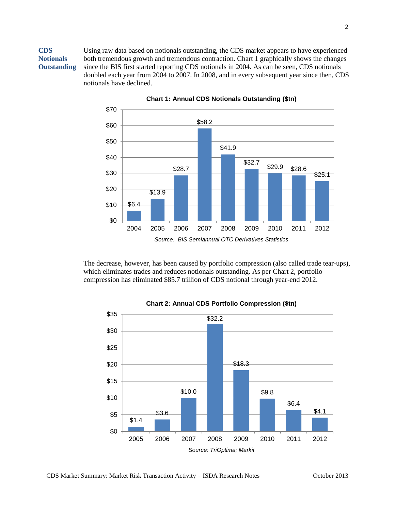**CDS Notionals Outstanding** Using raw data based on notionals outstanding, the CDS market appears to have experienced both tremendous growth and tremendous contraction. Chart 1 graphically shows the changes since the BIS first started reporting CDS notionals in 2004. As can be seen, CDS notionals doubled each year from 2004 to 2007. In 2008, and in every subsequent year since then, CDS notionals have declined.



**Chart 1: Annual CDS Notionals Outstanding (\$tn)**

The decrease, however, has been caused by portfolio compression (also called trade tear-ups), which eliminates trades and reduces notionals outstanding. As per Chart 2, portfolio compression has eliminated \$85.7 trillion of CDS notional through year-end 2012.



#### **Chart 2: Annual CDS Portfolio Compression (\$tn)**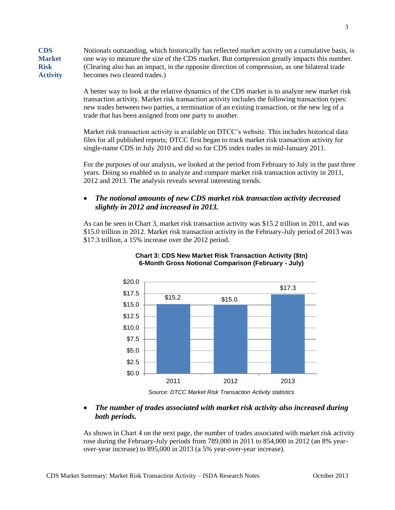**CDS Market Risk Activity** Notionals outstanding, which historically has reflected market activity on a cumulative basis, is one way to measure the size of the CDS market. But compression greatly impacts this number. (Clearing also has an impact, in the opposite direction of compression, as one bilateral trade becomes two cleared trades.)

> A better way to look at the relative dynamics of the CDS market is to analyze new market risk transaction activity. Market risk transaction activity includes the following transaction types: new trades between two parties, a termination of an existing transaction, or the new leg of a trade that has been assigned from one party to another.

> Market risk transaction activity is available on DTCC's website. This includes historical data files for all published reports; DTCC first began to track market risk transaction activity for single-name CDS in July 2010 and did so for CDS index trades in mid-January 2011.

For the purposes of our analysis, we looked at the period from February to July in the past three years. Doing so enabled us to analyze and compare market risk transaction activity in 2011, 2012 and 2013. The analysis reveals several interesting trends.

#### *The notional amounts of new CDS market risk transaction activity decreased slightly in 2012 and increased in 2013.*

As can be seen in Chart 3, market risk transaction activity was \$15.2 trillion in 2011, and was \$15.0 trillion in 2012. Market risk transaction activity in the February-July period of 2013 was \$17.3 trillion, a 15% increase over the 2012 period.





*Source: DTCC Market Risk Transaction Activity statistics*

#### *The number of trades associated with market risk activity also increased during both periods.*

As shown in Chart 4 on the next page, the number of trades associated with market risk activity rose during the February-July periods from 789,000 in 2011 to 854,000 in 2012 (an 8% yearover-year increase) to 895,000 in 2013 (a 5% year-over-year increase).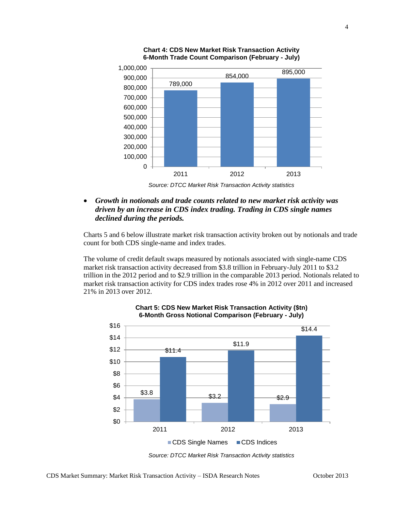



*Source: DTCC Market Risk Transaction Activity statistics*

 *Growth in notionals and trade counts related to new market risk activity was driven by an increase in CDS index trading. Trading in CDS single names declined during the periods.*

Charts 5 and 6 below illustrate market risk transaction activity broken out by notionals and trade count for both CDS single-name and index trades.

The volume of credit default swaps measured by notionals associated with single-name CDS market risk transaction activity decreased from \$3.8 trillion in February-July 2011 to \$3.2 trillion in the 2012 period and to \$2.9 trillion in the comparable 2013 period. Notionals related to market risk transaction activity for CDS index trades rose 4% in 2012 over 2011 and increased 21% in 2013 over 2012.



**Chart 5: CDS New Market Risk Transaction Activity (\$tn) 6-Month Gross Notional Comparison (February - July)**

*Source: DTCC Market Risk Transaction Activity statistics*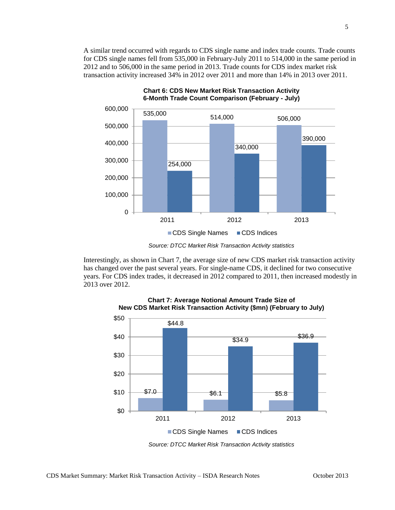A similar trend occurred with regards to CDS single name and index trade counts. Trade counts for CDS single names fell from 535,000 in February-July 2011 to 514,000 in the same period in 2012 and to 506,000 in the same period in 2013. Trade counts for CDS index market risk transaction activity increased 34% in 2012 over 2011 and more than 14% in 2013 over 2011.



**Chart 6: CDS New Market Risk Transaction Activity 6-Month Trade Count Comparison (February - July)**

Interestingly, as shown in Chart 7, the average size of new CDS market risk transaction activity has changed over the past several years. For single-name CDS, it declined for two consecutive years. For CDS index trades, it decreased in 2012 compared to 2011, then increased modestly in 2013 over 2012.



**Chart 7: Average Notional Amount Trade Size of New CDS Market Risk Transaction Activity (\$mn) (February to July)**

*Source: DTCC Market Risk Transaction Activity statistics*

*Source: DTCC Market Risk Transaction Activity statistics*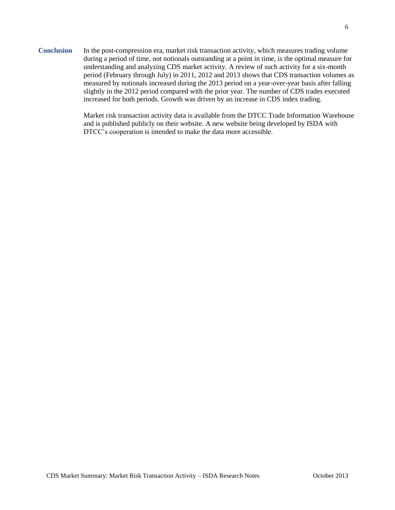**Conclusion** In the post-compression era, market risk transaction activity, which measures trading volume during a period of time, not notionals outstanding at a point in time, is the optimal measure for understanding and analyzing CDS market activity. A review of such activity for a six-month period (February through July) in 2011, 2012 and 2013 shows that CDS transaction volumes as measured by notionals increased during the 2013 period on a year-over-year basis after falling slightly in the 2012 period compared with the prior year. The number of CDS trades executed increased for both periods. Growth was driven by an increase in CDS index trading.

> Market risk transaction activity data is available from the DTCC Trade Information Warehouse and is published publicly on their website. A new website being developed by ISDA with DTCC's cooperation is intended to make the data more accessible.